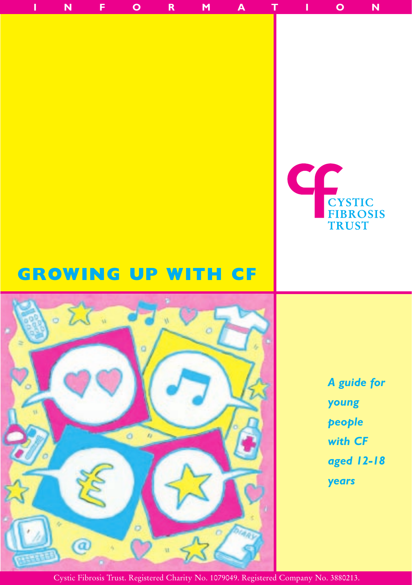# C **CYSTIC FIBROSIS TRUST**

# **GROWING UP WITH CF**



*A guide for young people with CF aged 12-18 years*

Cystic Fibrosis Trust. Registered Charity No. 1079049. Registered Company No. 3880213.

**INFORMATION**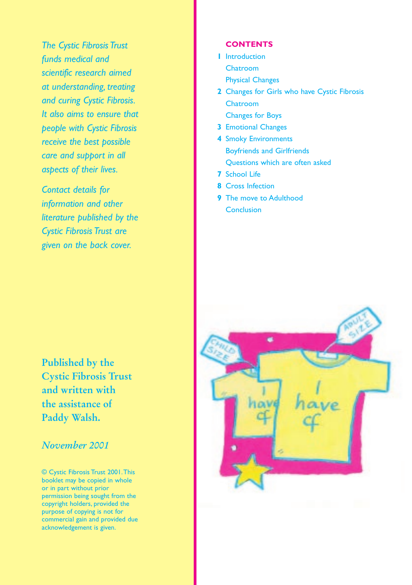*The Cystic Fibrosis Trust funds medical and scientific research aimed at understanding, treating and curing Cystic Fibrosis. It also aims to ensure that people with Cystic Fibrosis receive the best possible care and support in all aspects of their lives.*

*Contact details for information and other literature published by the Cystic Fibrosis Trust are given on the back cover.*

**Published by the Cystic Fibrosis Trust and written with the assistance of Paddy Walsh.**

# *November 2001*

© Cystic Fibrosis Trust 2001.This booklet may be copied in whole or in part without prior permission being sought from the copyright holders, provided the purpose of copying is not for commercial gain and provided due acknowledgement is given.

#### **CONTENTS**

- **1** Introduction Chatroom Physical Changes
- **2** Changes for Girls who have Cystic Fibrosis Chatroom Changes for Boys
- **3** Emotional Changes
- **4** Smoky Environments Boyfriends and Girlfriends Questions which are often asked
- **7** School Life
- **8** Cross Infection
- **9** The move to Adulthood **Conclusion**

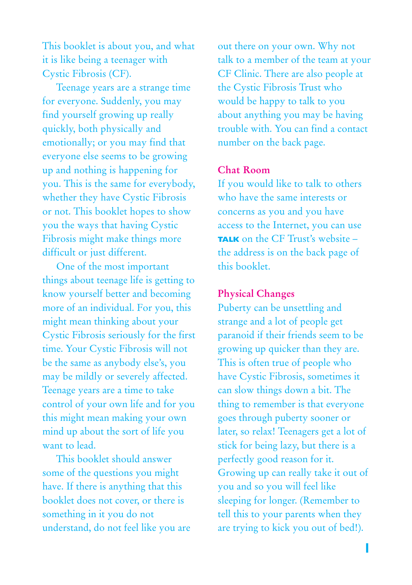This booklet is about you, and what it is like being a teenager with Cystic Fibrosis (CF).

Teenage years are a strange time for everyone. Suddenly, you may find yourself growing up really quickly, both physically and emotionally; or you may find that everyone else seems to be growing up and nothing is happening for you. This is the same for everybody, whether they have Cystic Fibrosis or not. This booklet hopes to show you the ways that having Cystic Fibrosis might make things more difficult or just different.

One of the most important things about teenage life is getting to know yourself better and becoming more of an individual. For you, this might mean thinking about your Cystic Fibrosis seriously for the first time. Your Cystic Fibrosis will not be the same as anybody else's, you may be mildly or severely affected. Teenage years are a time to take control of your own life and for you this might mean making your own mind up about the sort of life you want to lead.

This booklet should answer some of the questions you might have. If there is anything that this booklet does not cover, or there is something in it you do not understand, do not feel like you are out there on your own. Why not talk to a member of the team at your CF Clinic. There are also people at the Cystic Fibrosis Trust who would be happy to talk to you about anything you may be having trouble with. You can find a contact number on the back page.

#### **Chat Room**

If you would like to talk to others who have the same interests or concerns as you and you have access to the Internet, you can use **TALK** on the CF Trust's website – the address is on the back page of this booklet.

#### **Physical Changes**

Puberty can be unsettling and strange and a lot of people get paranoid if their friends seem to be growing up quicker than they are. This is often true of people who have Cystic Fibrosis, sometimes it can slow things down a bit. The thing to remember is that everyone goes through puberty sooner or later, so relax! Teenagers get a lot of stick for being lazy, but there is a perfectly good reason for it. Growing up can really take it out of you and so you will feel like sleeping for longer. (Remember to tell this to your parents when they are trying to kick you out of bed!).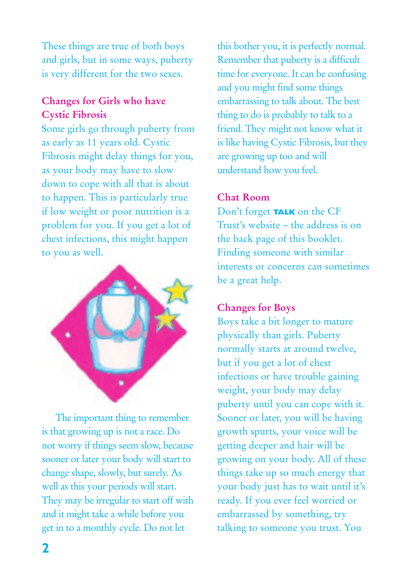These things are true of both boys and girls, but in some ways, puberty is very different for the two sexes.

# **Changes for Girls who have Cystic Fibrosis**

Some girls go through puberty from as early as 11 years old. Cystic Fibrosis might delay things for you, as your body may have to slow down to cope with all that is about to happen. This is particularly true if low weight or poor nutrition is a problem for you. If you get a lot of chest infections, this might happen to you as well.



The important thing to remember is that growing up is not a race. Do not worry if things seem slow, because sooner or later your body will start to change shape, slowly, but surely. As well as this your periods will start. They may be irregular to start off with and it might take a while before you get in to a monthly cycle. Do not let

this bother you, it is perfectly normal. Remember that puberty is a difficult time for everyone. It can be confusing and you might find some things embarrassing to talk about. The best thing to do is probably to talk to a friend. They might not know what it is like having Cystic Fibrosis, but they are growing up too and will understand how you feel.

## **Chat Room**

Don't forget **TALK** on the CF Trust's website – the address is on the back page of this booklet. Finding someone with similar interests or concerns can sometimes be a great help.

## **Changes for Boys**

Boys take a bit longer to mature physically than girls. Puberty normally starts at around twelve, but if you get a lot of chest infections or have trouble gaining weight, your body may delay puberty until you can cope with it. Sooner or later, you will be having growth spurts, your voice will be getting deeper and hair will be growing on your body. All of these things take up so much energy that your body just has to wait until it's ready. If you ever feel worried or embarrassed by something, try talking to someone you trust. You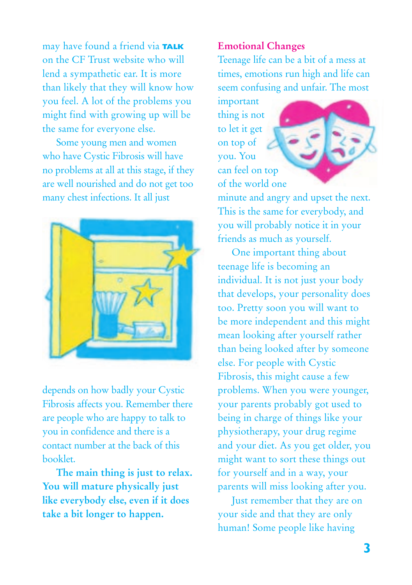may have found a friend via **TALK** on the CF Trust website who will lend a sympathetic ear. It is more than likely that they will know how you feel. A lot of the problems you might find with growing up will be the same for everyone else.

Some young men and women who have Cystic Fibrosis will have no problems at all at this stage, if they are well nourished and do not get too many chest infections. It all just



depends on how badly your Cystic Fibrosis affects you. Remember there are people who are happy to talk to you in confidence and there is a contact number at the back of this booklet.

**The main thing is just to relax. You will mature physically just like everybody else, even if it does take a bit longer to happen.**

#### **Emotional Changes**

Teenage life can be a bit of a mess at times, emotions run high and life can seem confusing and unfair. The most

important thing is not to let it get on top of you. You can feel on top of the world one



minute and angry and upset the next. This is the same for everybody, and you will probably notice it in your friends as much as yourself.

One important thing about teenage life is becoming an individual. It is not just your body that develops, your personality does too. Pretty soon you will want to be more independent and this might mean looking after yourself rather than being looked after by someone else. For people with Cystic Fibrosis, this might cause a few problems. When you were younger, your parents probably got used to being in charge of things like your physiotherapy, your drug regime and your diet. As you get older, you might want to sort these things out for yourself and in a way, your parents will miss looking after you.

Just remember that they are on your side and that they are only human! Some people like having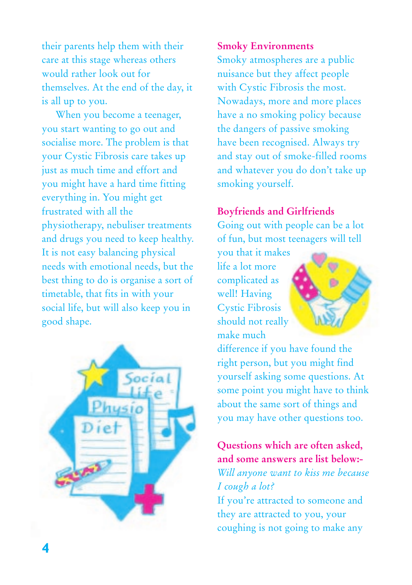their parents help them with their care at this stage whereas others would rather look out for themselves. At the end of the day, it is all up to you.

When you become a teenager, you start wanting to go out and socialise more. The problem is that your Cystic Fibrosis care takes up just as much time and effort and you might have a hard time fitting everything in. You might get frustrated with all the physiotherapy, nebuliser treatments and drugs you need to keep healthy. It is not easy balancing physical needs with emotional needs, but the best thing to do is organise a sort of timetable, that fits in with your social life, but will also keep you in good shape.



#### **Smoky Environments**

Smoky atmospheres are a public nuisance but they affect people with Cystic Fibrosis the most. Nowadays, more and more places have a no smoking policy because the dangers of passive smoking have been recognised. Always try and stay out of smoke-filled rooms and whatever you do don't take up smoking yourself.

## **Boyfriends and Girlfriends**

Going out with people can be a lot of fun, but most teenagers will tell

you that it makes life a lot more complicated as well! Having Cystic Fibrosis should not really make much



difference if you have found the right person, but you might find yourself asking some questions. At some point you might have to think about the same sort of things and you may have other questions too.

# **Questions which are often asked, and some answers are list below:-**

*Will anyone want to kiss me because I cough a lot?*

If you're attracted to someone and they are attracted to you, your coughing is not going to make any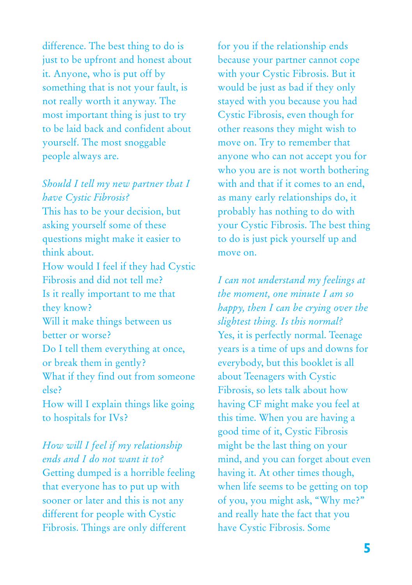difference. The best thing to do is just to be upfront and honest about it. Anyone, who is put off by something that is not your fault, is not really worth it anyway. The most important thing is just to try to be laid back and confident about yourself. The most snoggable people always are.

## *Should I tell my new partner that I have Cystic Fibrosis?*

This has to be your decision, but asking yourself some of these questions might make it easier to think about. How would I feel if they had Cystic Fibrosis and did not tell me? Is it really important to me that they know? Will it make things between us better or worse? Do I tell them everything at once, or break them in gently? What if they find out from someone else? How will I explain things like going

to hospitals for IVs?

*How will I feel if my relationship ends and I do not want it to?* Getting dumped is a horrible feeling that everyone has to put up with sooner or later and this is not any different for people with Cystic Fibrosis. Things are only different

for you if the relationship ends because your partner cannot cope with your Cystic Fibrosis. But it would be just as bad if they only stayed with you because you had Cystic Fibrosis, even though for other reasons they might wish to move on. Try to remember that anyone who can not accept you for who you are is not worth bothering with and that if it comes to an end, as many early relationships do, it probably has nothing to do with your Cystic Fibrosis. The best thing to do is just pick yourself up and move on.

*I can not understand my feelings at the moment, one minute I am so happy, then I can be crying over the slightest thing. Is this normal?* Yes, it is perfectly normal. Teenage years is a time of ups and downs for everybody, but this booklet is all about Teenagers with Cystic Fibrosis, so lets talk about how having CF might make you feel at this time. When you are having a good time of it, Cystic Fibrosis might be the last thing on your mind, and you can forget about even having it. At other times though, when life seems to be getting on top of you, you might ask, "Why me?" and really hate the fact that you have Cystic Fibrosis. Some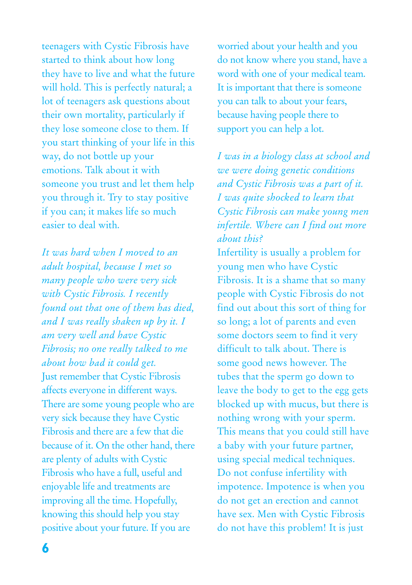teenagers with Cystic Fibrosis have started to think about how long they have to live and what the future will hold. This is perfectly natural; a lot of teenagers ask questions about their own mortality, particularly if they lose someone close to them. If you start thinking of your life in this way, do not bottle up your emotions. Talk about it with someone you trust and let them help you through it. Try to stay positive if you can; it makes life so much easier to deal with.

*It was hard when I moved to an adult hospital, because I met so many people who were very sick with Cystic Fibrosis. I recently found out that one of them has died, and I was really shaken up by it. I am very well and have Cystic Fibrosis; no one really talked to me about how bad it could get.* Just remember that Cystic Fibrosis affects everyone in different ways. There are some young people who are very sick because they have Cystic Fibrosis and there are a few that die because of it. On the other hand, there are plenty of adults with Cystic Fibrosis who have a full, useful and enjoyable life and treatments are improving all the time. Hopefully, knowing this should help you stay positive about your future. If you are

worried about your health and you do not know where you stand, have a word with one of your medical team. It is important that there is someone you can talk to about your fears, because having people there to support you can help a lot.

*I was in a biology class at school and we were doing genetic conditions and Cystic Fibrosis was a part of it. I was quite shocked to learn that Cystic Fibrosis can make young men infertile. Where can I find out more about this?*

Infertility is usually a problem for young men who have Cystic Fibrosis. It is a shame that so many people with Cystic Fibrosis do not find out about this sort of thing for so long; a lot of parents and even some doctors seem to find it very difficult to talk about. There is some good news however. The tubes that the sperm go down to leave the body to get to the egg gets blocked up with mucus, but there is nothing wrong with your sperm. This means that you could still have a baby with your future partner, using special medical techniques. Do not confuse infertility with impotence. Impotence is when you do not get an erection and cannot have sex. Men with Cystic Fibrosis do not have this problem! It is just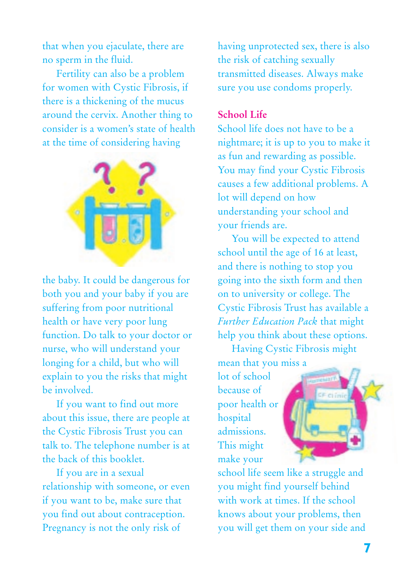that when you ejaculate, there are no sperm in the fluid.

Fertility can also be a problem for women with Cystic Fibrosis, if there is a thickening of the mucus around the cervix. Another thing to consider is a women's state of health at the time of considering having



the baby. It could be dangerous for both you and your baby if you are suffering from poor nutritional health or have very poor lung function. Do talk to your doctor or nurse, who will understand your longing for a child, but who will explain to you the risks that might be involved.

If you want to find out more about this issue, there are people at the Cystic Fibrosis Trust you can talk to. The telephone number is at the back of this booklet.

If you are in a sexual relationship with someone, or even if you want to be, make sure that you find out about contraception. Pregnancy is not the only risk of

having unprotected sex, there is also the risk of catching sexually transmitted diseases. Always make sure you use condoms properly.

### **School Life**

School life does not have to be a nightmare; it is up to you to make it as fun and rewarding as possible. You may find your Cystic Fibrosis causes a few additional problems. A lot will depend on how understanding your school and your friends are.

You will be expected to attend school until the age of 16 at least, and there is nothing to stop you going into the sixth form and then on to university or college. The Cystic Fibrosis Trust has available a *Further Education Pack* that might help you think about these options.

Having Cystic Fibrosis might mean that you miss a

lot of school because of poor health or hospital admissions. This might make your



school life seem like a struggle and you might find yourself behind with work at times. If the school knows about your problems, then you will get them on your side and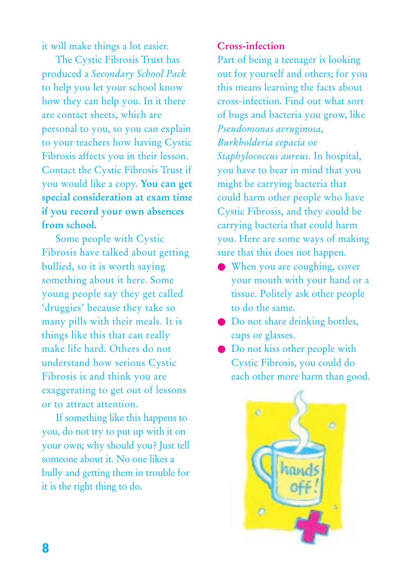it will make things a lot easier.

The Cystic Fibrosis Trust has produced a *Secondary School Pack* to help you let your school know how they can help you. In it there are contact sheets, which are personal to you, so you can explain to your teachers how having Cystic Fibrosis affects you in their lesson. Contact the Cystic Fibrosis Trust if you would like a copy. **You can get special consideration at exam time if you record your own absences from school.**

Some people with Cystic Fibrosis have talked about getting bullied, so it is worth saying something about it here. Some young people say they get called 'druggies' because they take so many pills with their meals. It is things like this that can really make life hard. Others do not understand how serious Cystic Fibrosis is and think you are exaggerating to get out of lessons or to attract attention.

If something like this happens to you, do not try to put up with it on your own; why should you? Just tell someone about it. No one likes a bully and getting them in trouble for it is the right thing to do.

## **Cross-infection**

Part of being a teenager is looking out for yourself and others; for you this means learning the facts about cross-infection. Find out what sort of bugs and bacteria you grow, like *Pseudomonas aeruginosa*, *Burkholderia cepacia* or *Staphylococcus aureus*. In hospital, you have to bear in mind that you might be carrying bacteria that could harm other people who have Cystic Fibrosis, and they could be carrying bacteria that could harm you. Here are some ways of making sure that this does not happen.

- When you are coughing, cover your mouth with your hand or a tissue. Politely ask other people to do the same.
- Do not share drinking bottles, cups or glasses.
- Do not kiss other people with Cystic Fibrosis, you could do each other more harm than good.

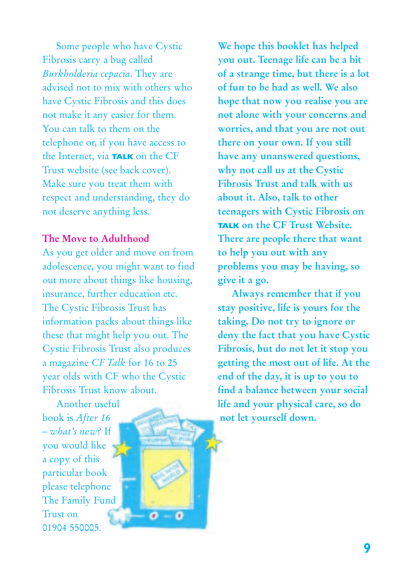Some people who have Cystic Fibrosis carry a bug called *Burkholderia cepacia*. They are advised not to mix with others who have Cystic Fibrosis and this does not make it any easier for them. You can talk to them on the telephone or, if you have access to the Internet, via **TALK** on the CF Trust website (see back cover). Make sure you treat them with respect and understanding, they do not deserve anything less.

### **The Move to Adulthood**

As you get older and move on from adolescence, you might want to find out more about things like housing, insurance, further education etc. The Cystic Fibrosis Trust has information packs about things like these that might help you out. The Cystic Fibrosis Trust also produces a magazine *CF Talk* for 16 to 25 year olds with CF who the Cystic Fibrosis Trust know about.

G

Another useful book is *After 16 – what's new?* If you would like a copy of this particular book please telephone The Family Fund Trust on 01904 550005.

**We hope this booklet has helped you out. Teenage life can be a bit of a strange time, but there is a lot of fun to be had as well. We also hope that now you realise you are not alone with your concerns and worries, and that you are not out there on your own. If you still have any unanswered questions, why not call us at the Cystic Fibrosis Trust and talk with us about it. Also, talk to other teenagers with Cystic Fibrosis on TALK on the CF Trust Website. There are people there that want to help you out with any problems you may be having, so give it a go.**

**Always remember that if you stay positive, life is yours for the taking. Do not try to ignore or deny the fact that you have Cystic Fibrosis, but do not let it stop you getting the most out of life. At the end of the day, it is up to you to find a balance between your social life and your physical care, so do not let yourself down.**